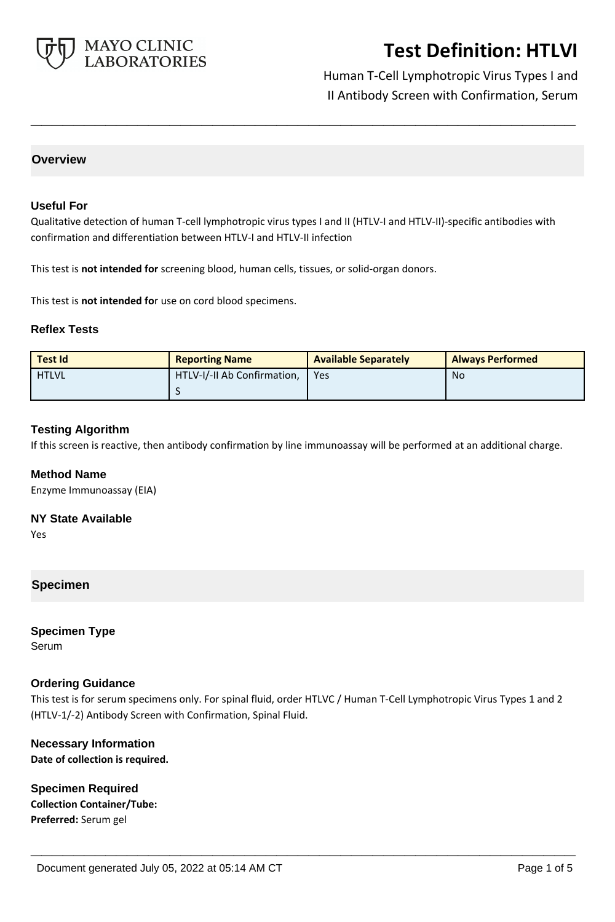

Human T-Cell Lymphotropic Virus Types I and II Antibody Screen with Confirmation, Serum

### **Overview**

#### **Useful For**

Qualitative detection of human T-cell lymphotropic virus types I and II (HTLV-I and HTLV-II)-specific antibodies with confirmation and differentiation between HTLV-I and HTLV-II infection

**\_\_\_\_\_\_\_\_\_\_\_\_\_\_\_\_\_\_\_\_\_\_\_\_\_\_\_\_\_\_\_\_\_\_\_\_\_\_\_\_\_\_\_\_\_\_\_\_\_\_\_**

This test is **not intended for** screening blood, human cells, tissues, or solid-organ donors.

This test is **not intended fo**r use on cord blood specimens.

#### **Reflex Tests**

| <b>Test Id</b> | <b>Reporting Name</b>       | <b>Available Separately</b> | <b>Always Performed</b> |
|----------------|-----------------------------|-----------------------------|-------------------------|
| <b>HTLVL</b>   | HTLV-I/-II Ab Confirmation, | Yes                         | No                      |
|                |                             |                             |                         |

#### **Testing Algorithm**

If this screen is reactive, then antibody confirmation by line immunoassay will be performed at an additional charge.

### **Method Name**

Enzyme Immunoassay (EIA)

### **NY State Available**

Yes

### **Specimen**

**Specimen Type** Serum

### **Ordering Guidance**

This test is for serum specimens only. For spinal fluid, order HTLVC / Human T-Cell Lymphotropic Virus Types 1 and 2 (HTLV-1/-2) Antibody Screen with Confirmation, Spinal Fluid.

**\_\_\_\_\_\_\_\_\_\_\_\_\_\_\_\_\_\_\_\_\_\_\_\_\_\_\_\_\_\_\_\_\_\_\_\_\_\_\_\_\_\_\_\_\_\_\_\_\_\_\_**

### **Necessary Information Date of collection is required.**

**Specimen Required Collection Container/Tube: Preferred:** Serum gel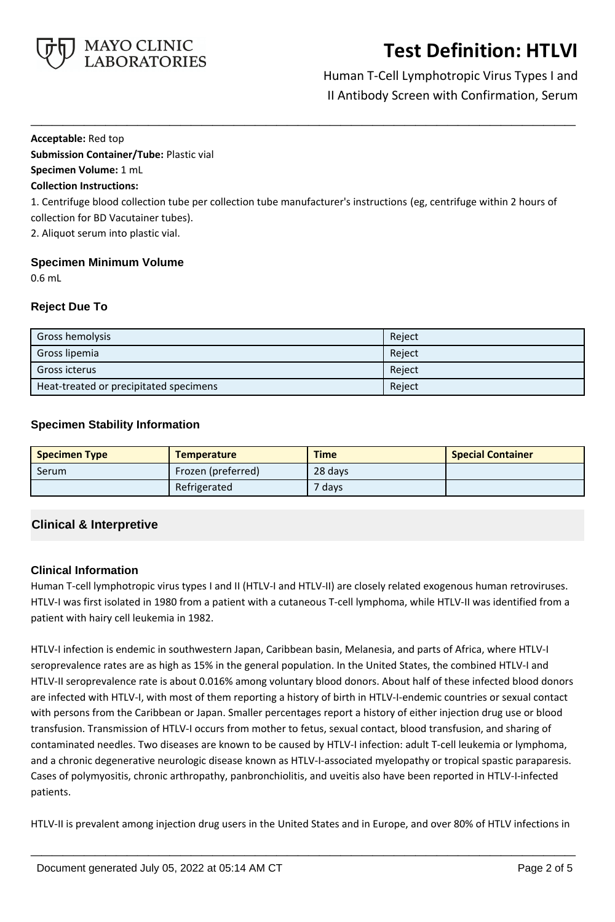

Human T-Cell Lymphotropic Virus Types I and II Antibody Screen with Confirmation, Serum

#### **Acceptable:** Red top

**Submission Container/Tube:** Plastic vial **Specimen Volume:** 1 mL

# **Collection Instructions:**

1. Centrifuge blood collection tube per collection tube manufacturer's instructions (eg, centrifuge within 2 hours of collection for BD Vacutainer tubes).

**\_\_\_\_\_\_\_\_\_\_\_\_\_\_\_\_\_\_\_\_\_\_\_\_\_\_\_\_\_\_\_\_\_\_\_\_\_\_\_\_\_\_\_\_\_\_\_\_\_\_\_**

2. Aliquot serum into plastic vial.

### **Specimen Minimum Volume**

0.6 mL

### **Reject Due To**

| Gross hemolysis                        | Reject |
|----------------------------------------|--------|
| Gross lipemia                          | Reject |
| Gross icterus                          | Reject |
| Heat-treated or precipitated specimens | Reject |

### **Specimen Stability Information**

| <b>Specimen Type</b> | <b>Temperature</b> | <b>Time</b> | <b>Special Container</b> |
|----------------------|--------------------|-------------|--------------------------|
| Serum                | Frozen (preferred) | 28 days     |                          |
|                      | Refrigerated       | 7 days      |                          |

# **Clinical & Interpretive**

# **Clinical Information**

Human T-cell lymphotropic virus types I and II (HTLV-I and HTLV-II) are closely related exogenous human retroviruses. HTLV-I was first isolated in 1980 from a patient with a cutaneous T-cell lymphoma, while HTLV-II was identified from a patient with hairy cell leukemia in 1982.

HTLV-I infection is endemic in southwestern Japan, Caribbean basin, Melanesia, and parts of Africa, where HTLV-I seroprevalence rates are as high as 15% in the general population. In the United States, the combined HTLV-I and HTLV-II seroprevalence rate is about 0.016% among voluntary blood donors. About half of these infected blood donors are infected with HTLV-I, with most of them reporting a history of birth in HTLV-I-endemic countries or sexual contact with persons from the Caribbean or Japan. Smaller percentages report a history of either injection drug use or blood transfusion. Transmission of HTLV-I occurs from mother to fetus, sexual contact, blood transfusion, and sharing of contaminated needles. Two diseases are known to be caused by HTLV-I infection: adult T-cell leukemia or lymphoma, and a chronic degenerative neurologic disease known as HTLV-I-associated myelopathy or tropical spastic paraparesis. Cases of polymyositis, chronic arthropathy, panbronchiolitis, and uveitis also have been reported in HTLV-I-infected patients.

HTLV-II is prevalent among injection drug users in the United States and in Europe, and over 80% of HTLV infections in

**\_\_\_\_\_\_\_\_\_\_\_\_\_\_\_\_\_\_\_\_\_\_\_\_\_\_\_\_\_\_\_\_\_\_\_\_\_\_\_\_\_\_\_\_\_\_\_\_\_\_\_**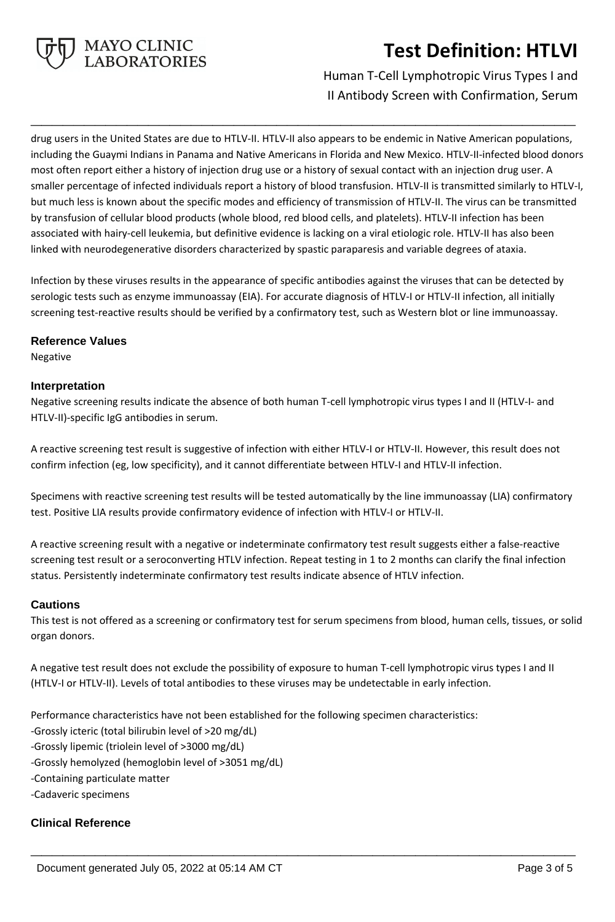

# Human T-Cell Lymphotropic Virus Types I and II Antibody Screen with Confirmation, Serum

drug users in the United States are due to HTLV-II. HTLV-II also appears to be endemic in Native American populations, including the Guaymi Indians in Panama and Native Americans in Florida and New Mexico. HTLV-II-infected blood donors most often report either a history of injection drug use or a history of sexual contact with an injection drug user. A smaller percentage of infected individuals report a history of blood transfusion. HTLV-II is transmitted similarly to HTLV-I, but much less is known about the specific modes and efficiency of transmission of HTLV-II. The virus can be transmitted by transfusion of cellular blood products (whole blood, red blood cells, and platelets). HTLV-II infection has been associated with hairy-cell leukemia, but definitive evidence is lacking on a viral etiologic role. HTLV-II has also been linked with neurodegenerative disorders characterized by spastic paraparesis and variable degrees of ataxia.

**\_\_\_\_\_\_\_\_\_\_\_\_\_\_\_\_\_\_\_\_\_\_\_\_\_\_\_\_\_\_\_\_\_\_\_\_\_\_\_\_\_\_\_\_\_\_\_\_\_\_\_**

Infection by these viruses results in the appearance of specific antibodies against the viruses that can be detected by serologic tests such as enzyme immunoassay (EIA). For accurate diagnosis of HTLV-I or HTLV-II infection, all initially screening test-reactive results should be verified by a confirmatory test, such as Western blot or line immunoassay.

### **Reference Values**

Negative

#### **Interpretation**

Negative screening results indicate the absence of both human T-cell lymphotropic virus types I and II (HTLV-I- and HTLV-II)-specific IgG antibodies in serum.

A reactive screening test result is suggestive of infection with either HTLV-I or HTLV-II. However, this result does not confirm infection (eg, low specificity), and it cannot differentiate between HTLV-I and HTLV-II infection.

Specimens with reactive screening test results will be tested automatically by the line immunoassay (LIA) confirmatory test. Positive LIA results provide confirmatory evidence of infection with HTLV-I or HTLV-II.

A reactive screening result with a negative or indeterminate confirmatory test result suggests either a false-reactive screening test result or a seroconverting HTLV infection. Repeat testing in 1 to 2 months can clarify the final infection status. Persistently indeterminate confirmatory test results indicate absence of HTLV infection.

### **Cautions**

This test is not offered as a screening or confirmatory test for serum specimens from blood, human cells, tissues, or solid organ donors.

A negative test result does not exclude the possibility of exposure to human T-cell lymphotropic virus types I and II (HTLV-I or HTLV-II). Levels of total antibodies to these viruses may be undetectable in early infection.

**\_\_\_\_\_\_\_\_\_\_\_\_\_\_\_\_\_\_\_\_\_\_\_\_\_\_\_\_\_\_\_\_\_\_\_\_\_\_\_\_\_\_\_\_\_\_\_\_\_\_\_**

Performance characteristics have not been established for the following specimen characteristics:

- -Grossly icteric (total bilirubin level of >20 mg/dL)
- -Grossly lipemic (triolein level of >3000 mg/dL)
- -Grossly hemolyzed (hemoglobin level of >3051 mg/dL)
- -Containing particulate matter
- -Cadaveric specimens

### **Clinical Reference**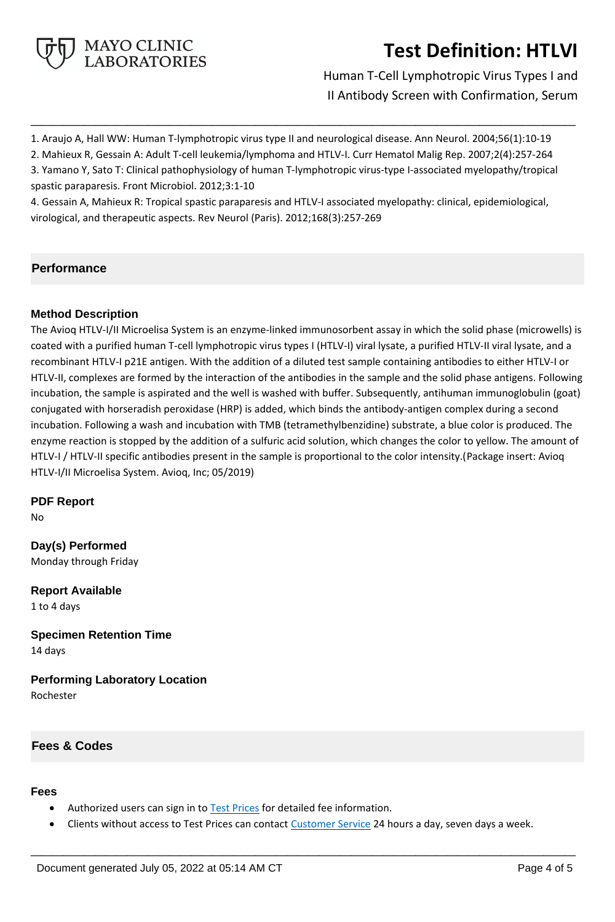

Human T-Cell Lymphotropic Virus Types I and II Antibody Screen with Confirmation, Serum

1. Araujo A, Hall WW: Human T-lymphotropic virus type II and neurological disease. Ann Neurol. 2004;56(1):10-19

**\_\_\_\_\_\_\_\_\_\_\_\_\_\_\_\_\_\_\_\_\_\_\_\_\_\_\_\_\_\_\_\_\_\_\_\_\_\_\_\_\_\_\_\_\_\_\_\_\_\_\_**

2. Mahieux R, Gessain A: Adult T-cell leukemia/lymphoma and HTLV-I. Curr Hematol Malig Rep. 2007;2(4):257-264

3. Yamano Y, Sato T: Clinical pathophysiology of human T-lymphotropic virus-type I-associated myelopathy/tropical spastic paraparesis. Front Microbiol. 2012;3:1-10

4. Gessain A, Mahieux R: Tropical spastic paraparesis and HTLV-I associated myelopathy: clinical, epidemiological, virological, and therapeutic aspects. Rev Neurol (Paris). 2012;168(3):257-269

# **Performance**

# **Method Description**

The Avioq HTLV-I/II Microelisa System is an enzyme-linked immunosorbent assay in which the solid phase (microwells) is coated with a purified human T-cell lymphotropic virus types I (HTLV-I) viral lysate, a purified HTLV-II viral lysate, and a recombinant HTLV-I p21E antigen. With the addition of a diluted test sample containing antibodies to either HTLV-I or HTLV-II, complexes are formed by the interaction of the antibodies in the sample and the solid phase antigens. Following incubation, the sample is aspirated and the well is washed with buffer. Subsequently, antihuman immunoglobulin (goat) conjugated with horseradish peroxidase (HRP) is added, which binds the antibody-antigen complex during a second incubation. Following a wash and incubation with TMB (tetramethylbenzidine) substrate, a blue color is produced. The enzyme reaction is stopped by the addition of a sulfuric acid solution, which changes the color to yellow. The amount of HTLV-I / HTLV-II specific antibodies present in the sample is proportional to the color intensity.(Package insert: Avioq HTLV-I/II Microelisa System. Avioq, Inc; 05/2019)

**PDF Report**

No

**Day(s) Performed** Monday through Friday

**Report Available** 1 to 4 days

**Specimen Retention Time** 14 days

**Performing Laboratory Location** Rochester

# **Fees & Codes**

### **Fees**

- Authorized users can sign in to [Test Prices](https://www.mayocliniclabs.com/customer-service/client-price-lookup/index.html?unit_code=HTLVI) for detailed fee information.
- Clients without access to Test Prices can contact [Customer Service](http://www.mayocliniclabs.com/customer-service/contacts.html) 24 hours a day, seven days a week.

**\_\_\_\_\_\_\_\_\_\_\_\_\_\_\_\_\_\_\_\_\_\_\_\_\_\_\_\_\_\_\_\_\_\_\_\_\_\_\_\_\_\_\_\_\_\_\_\_\_\_\_**